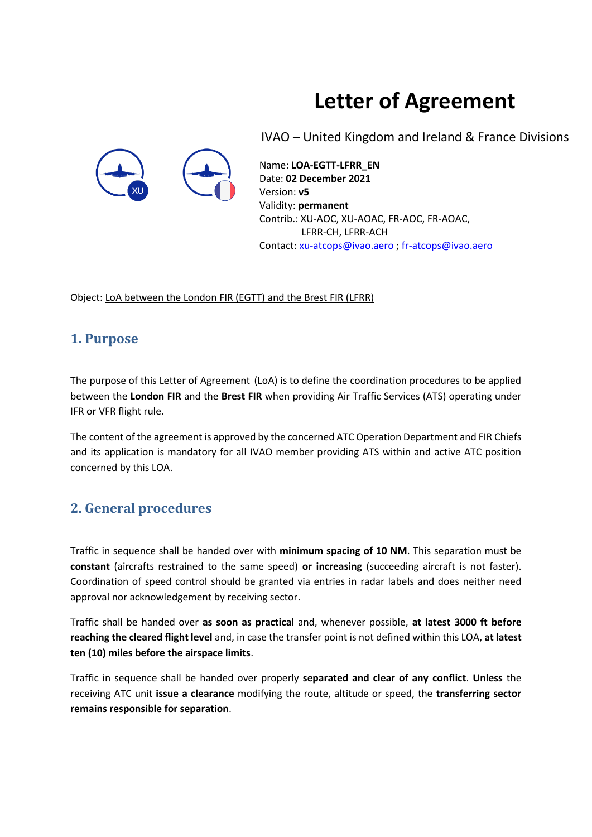# **Letter of Agreement**



IVAO – United Kingdom and Ireland & France Divisions

Name: **LOA-EGTT-LFRR\_EN** Date: **02 December 2021** Version: **v5** Validity: **permanent** Contrib.: XU-AOC, XU-AOAC, FR-AOC, FR-AOAC, LFRR-CH, LFRR-ACH Contact: [xu-atcops@ivao.aero](mailto:xu-atcops@ivao.aero) ; [fr-atcops@ivao.aero](mailto:fr-atcops@ivao.aero)

Object: LoA between the London FIR (EGTT) and the Brest FIR (LFRR)

### **1. Purpose**

The purpose of this Letter of Agreement (LoA) is to define the coordination procedures to be applied between the **London FIR** and the **Brest FIR** when providing Air Traffic Services (ATS) operating under IFR or VFR flight rule.

The content of the agreement is approved by the concerned ATC Operation Department and FIR Chiefs and its application is mandatory for all IVAO member providing ATS within and active ATC position concerned by this LOA.

### **2. General procedures**

Traffic in sequence shall be handed over with **minimum spacing of 10 NM**. This separation must be **constant** (aircrafts restrained to the same speed) **or increasing** (succeeding aircraft is not faster). Coordination of speed control should be granted via entries in radar labels and does neither need approval nor acknowledgement by receiving sector.

Traffic shall be handed over **as soon as practical** and, whenever possible, **at latest 3000 ft before reaching the cleared flight level** and, in case the transfer point is not defined within this LOA, **at latest ten (10) miles before the airspace limits**.

Traffic in sequence shall be handed over properly **separated and clear of any conflict**. **Unless** the receiving ATC unit **issue a clearance** modifying the route, altitude or speed, the **transferring sector remains responsible for separation**.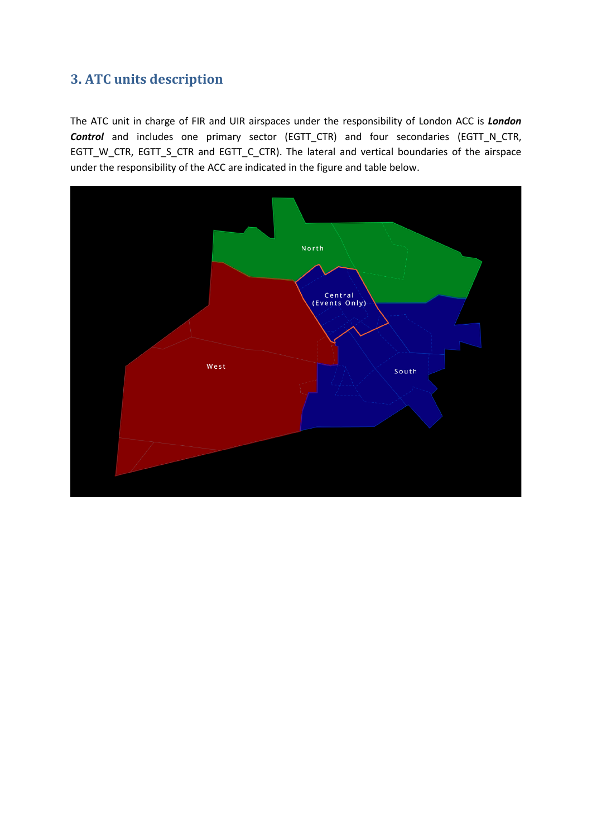### **3. ATC units description**

The ATC unit in charge of FIR and UIR airspaces under the responsibility of London ACC is *London Control* and includes one primary sector (EGTT\_CTR) and four secondaries (EGTT\_N\_CTR, EGTT\_W\_CTR, EGTT\_S\_CTR and EGTT\_C\_CTR). The lateral and vertical boundaries of the airspace under the responsibility of the ACC are indicated in the figure and table below.

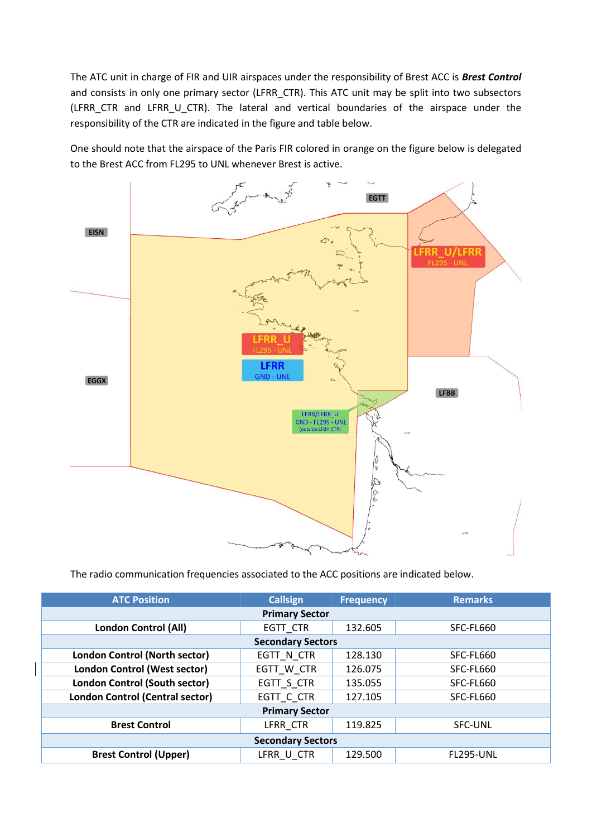The ATC unit in charge of FIR and UIR airspaces under the responsibility of Brest ACC is *Brest Control* and consists in only one primary sector (LFRR\_CTR). This ATC unit may be split into two subsectors (LFRR\_CTR and LFRR\_U\_CTR). The lateral and vertical boundaries of the airspace under the responsibility of the CTR are indicated in the figure and table below.

One should note that the airspace of the Paris FIR colored in orange on the figure below is delegated to the Brest ACC from FL295 to UNL whenever Brest is active.



The radio communication frequencies associated to the ACC positions are indicated below.

| <b>ATC Position</b>                    | <b>Callsign</b> | <b>Frequency</b> | <b>Remarks</b>   |
|----------------------------------------|-----------------|------------------|------------------|
| <b>Primary Sector</b>                  |                 |                  |                  |
| <b>London Control (All)</b>            | EGTT CTR        | 132.605          | SFC-FL660        |
| <b>Secondary Sectors</b>               |                 |                  |                  |
| London Control (North sector)          | EGTT N CTR      | 128.130          | SFC-FL660        |
| <b>London Control (West sector)</b>    | EGTT W CTR      | 126.075          | SFC-FL660        |
| London Control (South sector)          | EGTT_S_CTR      | 135.055          | SFC-FL660        |
| <b>London Control (Central sector)</b> | EGTT C CTR      | 127.105          | SFC-FL660        |
| <b>Primary Sector</b>                  |                 |                  |                  |
| <b>Brest Control</b>                   | LFRR CTR        | 119.825          | <b>SFC-UNL</b>   |
| <b>Secondary Sectors</b>               |                 |                  |                  |
| <b>Brest Control (Upper)</b>           | LFRR U CTR      | 129.500          | <b>FL295-UNL</b> |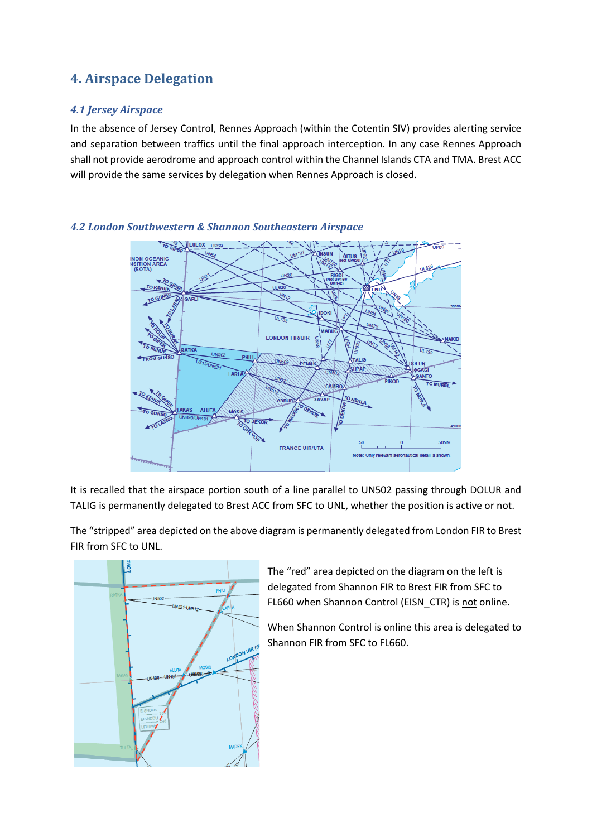# **4. Airspace Delegation**

#### *4.1 Jersey Airspace*

In the absence of Jersey Control, Rennes Approach (within the Cotentin SIV) provides alerting service and separation between traffics until the final approach interception. In any case Rennes Approach shall not provide aerodrome and approach control within the Channel Islands CTA and TMA. Brest ACC will provide the same services by delegation when Rennes Approach is closed.



#### *4.2 London Southwestern & Shannon Southeastern Airspace*

It is recalled that the airspace portion south of a line parallel to UN502 passing through DOLUR and TALIG is permanently delegated to Brest ACC from SFC to UNL, whether the position is active or not.

The "stripped" area depicted on the above diagram is permanently delegated from London FIR to Brest FIR from SFC to UNL.



The "red" area depicted on the diagram on the left is delegated from Shannon FIR to Brest FIR from SFC to FL660 when Shannon Control (EISN\_CTR) is not online.

When Shannon Control is online this area is delegated to Shannon FIR from SFC to FL660.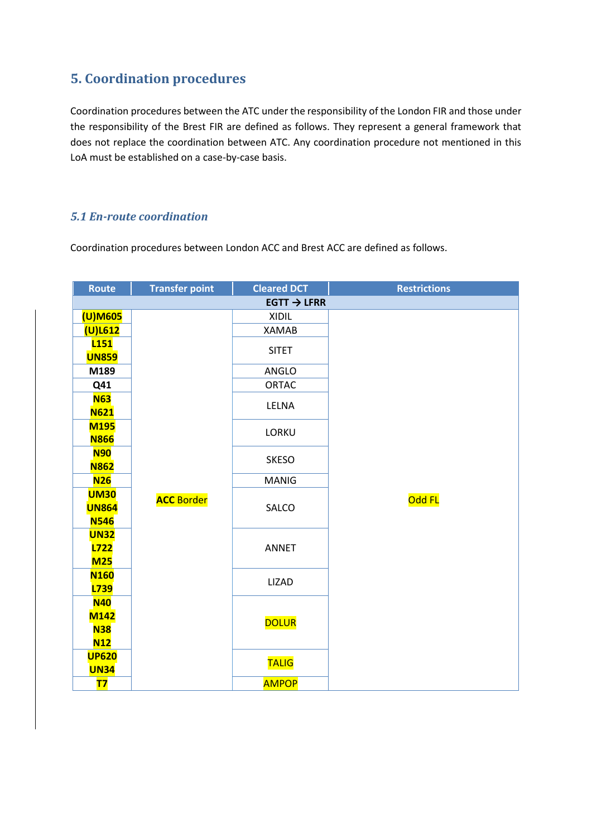### **5. Coordination procedures**

Coordination procedures between the ATC under the responsibility of the London FIR and those under the responsibility of the Brest FIR are defined as follows. They represent a general framework that does not replace the coordination between ATC. Any coordination procedure not mentioned in this LoA must be established on a case-by-case basis.

#### *5.1 En-route coordination*

Coordination procedures between London ACC and Brest ACC are defined as follows.

| Route                      | <b>Transfer point</b>   | <b>Cleared DCT</b> | <b>Restrictions</b> |  |
|----------------------------|-------------------------|--------------------|---------------------|--|
|                            | $EGTT \rightarrow LFRR$ |                    |                     |  |
| (U)M605                    |                         | <b>XIDIL</b>       |                     |  |
| $(U)$ L612                 |                         | <b>XAMAB</b>       |                     |  |
| <b>L151</b>                |                         | <b>SITET</b>       |                     |  |
| <b>UN859</b>               |                         |                    |                     |  |
| M189                       |                         | ANGLO              |                     |  |
| Q41                        |                         | ORTAC              |                     |  |
| <b>N63</b>                 |                         | LELNA              |                     |  |
| <b>N621</b><br><b>M195</b> |                         |                    |                     |  |
| <b>N866</b>                |                         | LORKU              |                     |  |
| <b>N90</b>                 |                         |                    |                     |  |
| <b>N862</b>                |                         | <b>SKESO</b>       |                     |  |
| N26                        |                         | <b>MANIG</b>       |                     |  |
| <b>UM30</b>                | <b>ACC</b> Border       |                    | Odd FL              |  |
| <b>UN864</b>               |                         | SALCO              |                     |  |
| <b>N546</b>                |                         |                    |                     |  |
| <b>UN32</b>                |                         |                    |                     |  |
| <b>L722</b>                |                         | <b>ANNET</b>       |                     |  |
| <b>M25</b>                 |                         |                    |                     |  |
| <b>N160</b><br>L739        |                         | <b>LIZAD</b>       |                     |  |
| <b>N40</b>                 |                         |                    |                     |  |
| <b>M142</b>                |                         |                    |                     |  |
| <b>N38</b>                 |                         | <b>DOLUR</b>       |                     |  |
| N12                        |                         |                    |                     |  |
| <b>UP620</b>               |                         |                    |                     |  |
| <b>UN34</b>                |                         | <b>TALIG</b>       |                     |  |
| <b>T7</b>                  |                         | <b>AMPOP</b>       |                     |  |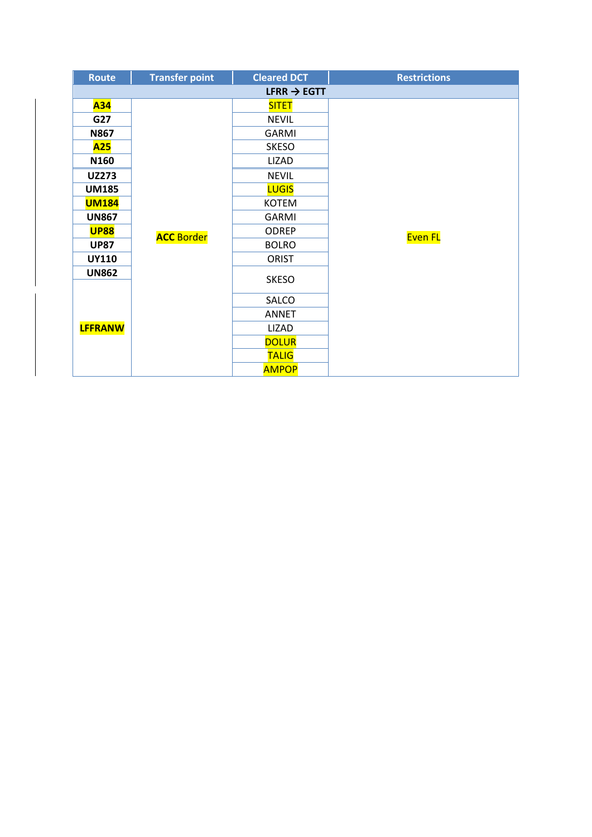| <b>Route</b>   | <b>Transfer point</b>   | <b>Cleared DCT</b> | <b>Restrictions</b> |  |
|----------------|-------------------------|--------------------|---------------------|--|
|                | LFRR $\rightarrow$ EGTT |                    |                     |  |
| A34            |                         | <b>SITET</b>       |                     |  |
| G27            |                         | <b>NEVIL</b>       |                     |  |
| <b>N867</b>    |                         | <b>GARMI</b>       |                     |  |
| <b>A25</b>     |                         | <b>SKESO</b>       |                     |  |
| N160           |                         | <b>LIZAD</b>       |                     |  |
| <b>UZ273</b>   |                         | <b>NEVIL</b>       |                     |  |
| <b>UM185</b>   |                         | <b>LUGIS</b>       |                     |  |
| <b>UM184</b>   |                         | <b>KOTEM</b>       |                     |  |
| <b>UN867</b>   |                         | <b>GARMI</b>       |                     |  |
| <b>UP88</b>    | <b>ACC</b> Border       | <b>ODREP</b>       | Even FL             |  |
| <b>UP87</b>    |                         | <b>BOLRO</b>       |                     |  |
| <b>UY110</b>   |                         | <b>ORIST</b>       |                     |  |
| <b>UN862</b>   |                         | <b>SKESO</b>       |                     |  |
|                |                         | SALCO              |                     |  |
|                |                         | <b>ANNET</b>       |                     |  |
| <b>LFFRANW</b> |                         | LIZAD              |                     |  |
|                |                         | <b>DOLUR</b>       |                     |  |
|                |                         | <b>TALIG</b>       |                     |  |
|                |                         | <b>AMPOP</b>       |                     |  |